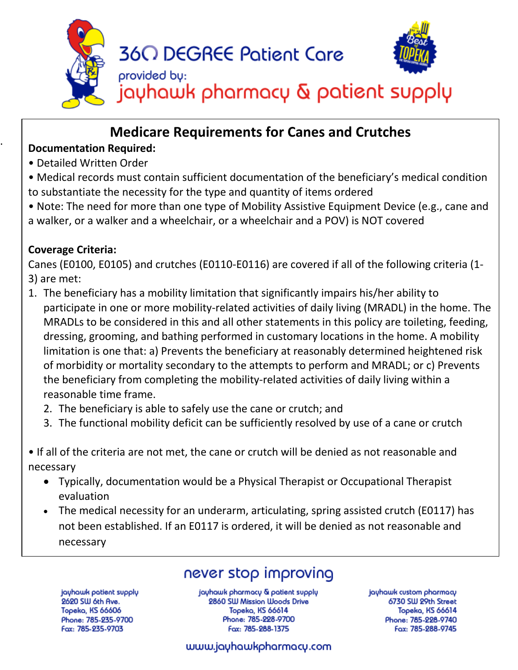

### . **Medicare Requirements for Canes and Crutches**

### **Documentation Required:**

- Detailed Written Order
- Medical records must contain sufficient documentation of the beneficiary's medical condition to substantiate the necessity for the type and quantity of items ordered
- Note: The need for more than one type of Mobility Assistive Equipment Device (e.g., cane and a walker, or a walker and a wheelchair, or a wheelchair and a POV) is NOT covered

### **Coverage Criteria:**

Canes (E0100, E0105) and crutches (E0110-E0116) are covered if all of the following criteria (1- 3) are met:

- 1. The beneficiary has a mobility limitation that significantly impairs his/her ability to participate in one or more mobility-related activities of daily living (MRADL) in the home. The MRADLs to be considered in this and all other statements in this policy are toileting, feeding, dressing, grooming, and bathing performed in customary locations in the home. A mobility limitation is one that: a) Prevents the beneficiary at reasonably determined heightened risk of morbidity or mortality secondary to the attempts to perform and MRADL; or c) Prevents the beneficiary from completing the mobility-related activities of daily living within a reasonable time frame.
	- 2. The beneficiary is able to safely use the cane or crutch; and
	- 3. The functional mobility deficit can be sufficiently resolved by use of a cane or crutch

• If all of the criteria are not met, the cane or crutch will be denied as not reasonable and necessary

- Typically, documentation would be a Physical Therapist or Occupational Therapist evaluation
- The medical necessity for an underarm, articulating, spring assisted crutch (E0117) has not been established. If an E0117 is ordered, it will be denied as not reasonable and necessary

# never stop improving

jayhawk patient supply 2620 SW 6th Ave. Topeka, KS 66606 Phone: 785-235-9700 Fax: 785-235-9703

jayhawk pharmacy & patient supply 2860 SW Mission Woods Drive Topeka, KS 66614 Phone: 785-228-9700 Fax: 785-288-1375

jayhawk custom pharmacy 6730 SW 29th Street **Topeka, KS 66614** Phone: 785-228-9740 Fax: 785-288-9745

#### www.jayhawkpharmacy.com